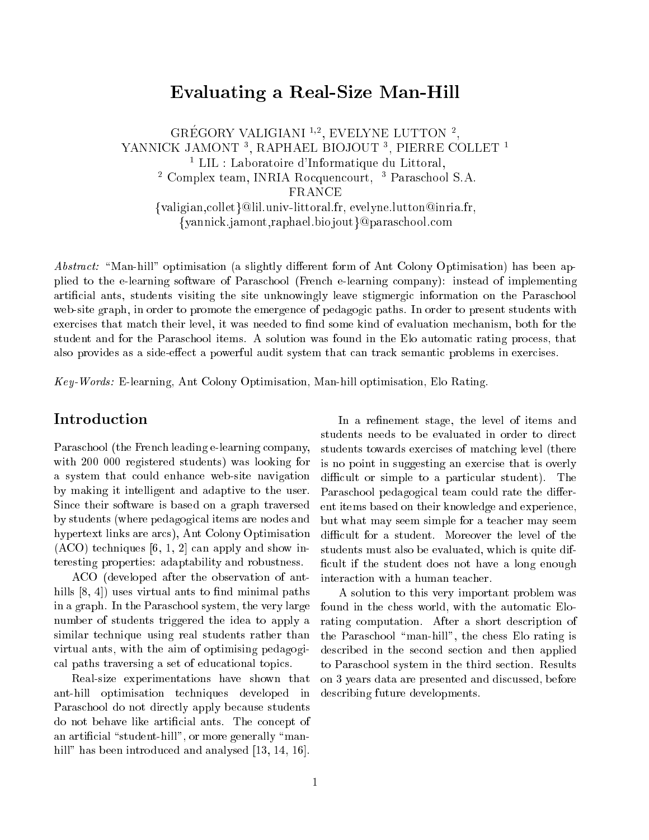## Evaluating <sup>a</sup> Real-Size Man-Hill

GREGORY VALIGIANI "", EVELYNE LUTTON ", YANNICK JAMONT <sup>3</sup> , RAPHAEL BIOJOUT <sup>3</sup> , PIERRE COLLET <sup>1</sup> <sup>1</sup> LIL : Laboratoire d'Informatique du Littoral. Complex team, INNIA Rocquencourt, Paraschool S.A. FRANCE {valigian, collet}@lil.univ-littoral.fr, evelyne.lutton@inria.fr, {yannick.jamont,raphael.biojout}@paraschool.com

Abstract: "Man-hill" optimisation (a slightly different form of Ant Colony Optimisation) has been applied to the e-learning software of Paras
hool (Fren
h e-learning ompany): instead of implementing artificial ants, students visiting the site unknowingly leave stigmergic information on the Paraschool web-site graph, in order to promote the emergence of pedagogic paths. In order to present students with exercises that match their level, it was needed to find some kind of evaluation mechanism, both for the student and for the Paraschool items. A solution was found in the Elo automatic rating process, that also provides as a side-effect a powerful audit system that can track semantic problems in exercises.

Key-Words: E-learning, Ant Colony Optimisation, Man-hill optimisation, Elo Rating.

Paras
hool (the Fren
h leading e-learning ompany, with 200 000 registered students) was looking for a system that ould enhan
e web-site navigation by making it intelligent and adaptive to the user. Sin
e their software is based on a graph traversed by students (where pedagogi
al items are nodes and hypertext links are ar
s), Ant Colony Optimisation  $(ACO)$  techniques [6, 1, 2] can apply and show interesting properties: adaptability and robustness.

ACO (developed after the observation of anthills  $[8, 4]$  uses virtual ants to find minimal paths in a graph. In the Paras
hool system, the very large number of students triggered the idea to apply a similar technique using real students rather than virtual ants, with the aim of optimising pedagogi al paths traversing a set of edu
ational topi
s.

Real-size experimentations have shown that ant-hill optimisation te
hniques developed in Paraschool do not directly apply because students do not behave like artificial ants. The concept of an artificial "student-hill", or more generally "manhill" has been introduced and analysed  $[13, 14, 16]$ .

In a refinement stage, the level of items and students needs to be evaluated in order to dire
t students towards exercises of matching level (there is no point in suggesting an exer
ise that is overly difficult or simple to a particular student). The Paraschool pedagogical team could rate the different items based on their knowledge and experien
e, but what may seem simple for a tea
her may seem difficult for a student. Moreover the level of the students must also be evaluated, whi
h is quite dif ficult if the student does not have a long enough interaction with a human teacher.

A solution to this very important problem was found in the chess world, with the automatic Elorating computation. After a short description of the Paraschool "man-hill", the chess Elo rating is described in the second section and then applied to Paras
hool system in the third se
tion. Results on 3 years data are presented and dis
ussed, before des
ribing future developments.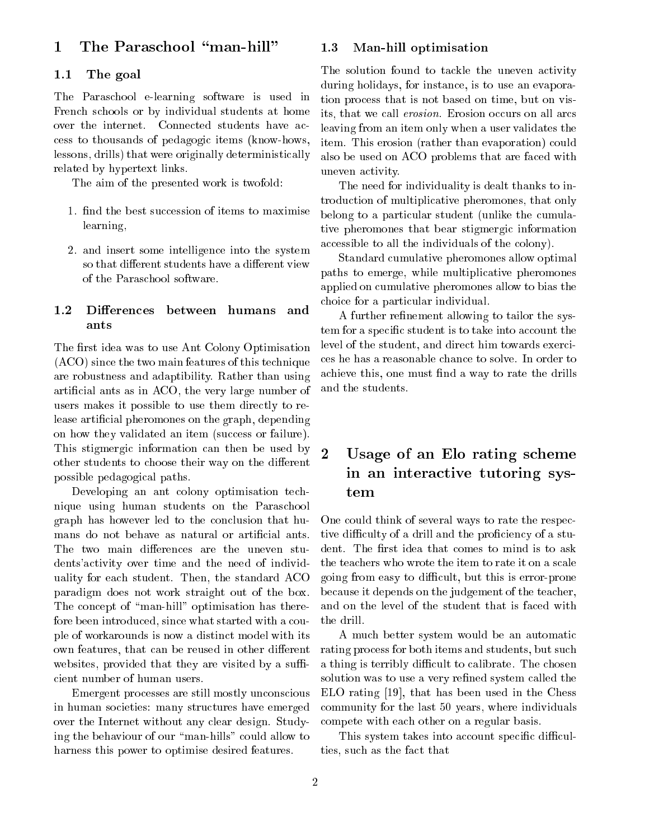#### The Paraschool "man-hill"  $\mathbf{1}$

#### 1.1The goal

The Paras
hool e-learning software is used in Fren
h s
hools or by individual students at home over the internet. Connected students have acess to thousands of pedagogi items (know-hows, lessons, drills) that were originally deterministi
ally related by hypertext links.

The aim of the presented work is twofold:

- 1. find the best succession of items to maximise learning,
- 2. and insert some intelligen
e into the system so that different students have a different view of the Paraschool software.

#### $1.2$ Differences between humans and ants

The first idea was to use Ant Colony Optimisation (ACO) sin
e the two main features of this te
hnique are robustness and adaptibility. Rather than using arti
ial ants as in ACO, the very large number of users makes it possible to use them directly to release artificial pheromones on the graph, depending on how they validated an item (success or failure). This stigmergic information can then be used by other students to choose their way on the different possible pedagogi
al paths.

Developing an ant colony optimisation technique using human students on the Paras
hool graph has however led to the on
lusion that hu-The two main differences are the uneven students' activity over time and the need of individuality for ea
h student. Then, the standard ACO paradigm does not work straight out of the box. The concept of "man-hill" optimisation has therefore been introduced, since what started with a couple of workarounds is now a distin
t model with its own features, that can be reused in other different websites, provided that they are visited by a sufficient number of human users.

Emergent processes are still mostly unconscious in human societies: many structures have emerged over the Internet without any lear design. Studying the behaviour of our "man-hills" could allow to harness this power to optimise desired features.

#### 1.3Man-hill optimisation

The solution found to tackle the uneven activity during holidays, for instance, is to use an evaporation pro
ess that is not based on time, but on visits, that we call *erosion*. Erosion occurs on all arcs leaving from an item only when a user validates the item. This erosion (rather than evaporation) could also be used on ACO problems that are fa
ed with uneven a
tivity.

The need for individuality is dealt thanks to introduction of multiplicative pheromones, that only belong to a particular student (unlike the cumulative pheromones that bear stigmergi information accessible to all the individuals of the colony).

Standard umulative pheromones allow optimal paths to emerge, while multipli
ative pheromones applied on umulative pheromones allow to bias the choice for a particular individual.

A further refinement allowing to tailor the system for a specific student is to take into account the level of the student, and direct him towards exercies he has a reasonable han
e to solve. In order to achieve this, one must find a way to rate the drills and the students.

## Usage of an Elo rating s
heme in and interactive the system of the system of  $\mathcal{L}_{\mathcal{A}}$

One could think of several ways to rate the respective difficulty of a drill and the proficiency of a student. The first idea that comes to mind is to ask the tea
hers who wrote the item to rate it on a s
ale going from easy to diÆ
ult, but this is error-prone be
ause it depends on the judgement of the tea
her, and on the level of the student that is fa
ed with the drill.

A mu
h better system would be an automati rating pro
ess for both items and students, but su
h a thing is terribly difficult to calibrate. The chosen solution was to use a very refined system called the  $ELO$  rating [19], that has been used in the Chess ommunity for the last 50 years, where individuals ompete with ea
h other on a regular basis.

This system takes into account specific difficulties, su
h as the fa
t that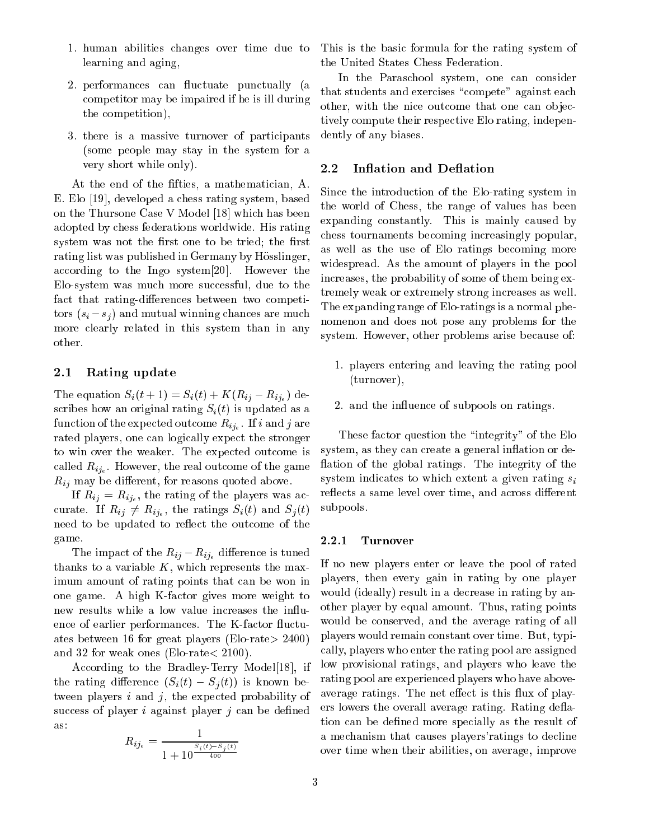- 1. human abilities hanges over time due to learning and aging,
- 2. performances can fluctuate punctually (a ompetitor may be impaired if he is ill during the ompetition),
- 3. there is a massive turnover of parti
ipants (some people may stay in the system for a very short while only).

At the end of the fifties, a mathematician, A. E. Elo [19], developed a chess rating system, based on the Thursone Case V Model [18] which has been adopted by hess federations worldwide. His rating system was not the first one to be tried; the first rating list was published in Germany by Hösslinger, according to the Ingo system $[20]$ . However the Elo-system was much more successful, due to the fact that rating-differences between two competitors  $(s_i - s_j)$  and mutual winning chances are much more learly related in this system than in any other.

#### 2.1Rating update

The equation  $S_i(t + 1) = S_i(t) + K(R_{ij} - R_{ij_e})$  describes how an original rating  $S_i(t)$  is updated as a the experiment of the experiment of the experiment  $\mathcal{L}_{t}$  is the experiment of  $\mathcal{L}_{t}$ rated players, one can logically expect the stronger to win over the weaker. The expected outcome is alled Rije . However, the real out the second out that  $\sigma$  is a second  $R_{ij}$  may be different, for reasons quoted above.

 $\mathbf{r} = \mathbf{r} \cdot \mathbf{r}$  and  $\mathbf{r} = \mathbf{r} \cdot \mathbf{r}$  and  $\mathbf{r} = \mathbf{r} \cdot \mathbf{r}$  and  $\mathbf{r} = \mathbf{r} \cdot \mathbf{r}$  $\mathcal{L}$  is the ratio of  $\mathcal{L}$  (ii) and  $\mathcal{L}$  (the ratio of  $\mathcal{L}$ ) and  $\mathcal{L}$  (the ratio of  $\mathcal{L}$ ) need to be updated to reflect the outcome of the game.

The impact of the  $R_{ij}-R_{ij_e}$  difference is tuned thanks to a variable  $K$ , which represents the maximum amount of rating points that an be won in one game. A high K-fa
tor gives more weight to new results while a low value increases the influence of earlier performances. The K-factor fluctuates between 16 for great players (Elo-rate<sup>&</sup>gt; 2400) and 32 for weak ones (Elo-rate<sup>&</sup>lt; 2100).

According to the Bradley-Terry Model<sup>[18]</sup>, if the rating difference  $(S_i(t) - S_j(t))$  is known between players  $i$  and  $j$ , the expected probability of success of player  $i$  against player  $j$  can be defined as:

$$
R_{ij_e} = \frac{1}{1 + 10^{\frac{S_i(t) - S_j(t)}{400}}}
$$

This is the basi formula for the rating system of the United States Chess Federation.

In the Paraschool system, one can consider that students and exercises "compete" against each other, with the nice outcome that one can objectively ompute their respe
tive Elo rating, independently of any biases.

#### 2.2Inflation and Deflation

Sin
e the introdu
tion of the Elo-rating system in the world of Chess, the range of values has been expanding onstantly. This is mainly aused by hess tournaments be
oming in
reasingly popular, as well as the use of Elo ratings be
oming more widespread. As the amount of players in the pool in
reases, the probability of some of them being extremely weak or extremely strong increases as well. The expanding range of Elo-ratings is a normal phenomenon and does not pose any problems for the system. However, other problems arise because of:

- 1. players entering and leaving the rating pool (turnover),
- 2. and the influence of subpools on ratings.

These factor question the "integrity" of the Elo system, as they can create a general inflation or deflation of the global ratings. The integrity of the system indicates to which extent a given rating  $s_i$ reflects a same level over time, and across different subpools.

## 2.2.1 Turnover

If no new players enter or leave the pool of rated players, then every gain in rating by one player would (ideally) result in a decrease in rating by another player by equal amount. Thus, rating points would be onserved, and the average rating of all players would remain onstant over time. But, typi ally, players who enter the rating pool are assigned low provisional ratings, and players who leave the rating pool are experien
ed players who have aboveaverage ratings. The net effect is this flux of players lowers the overall average rating. Rating deflation can be defined more specially as the result of a me
hanism that auses players'ratings to de
line over time when their abilities, on average, improve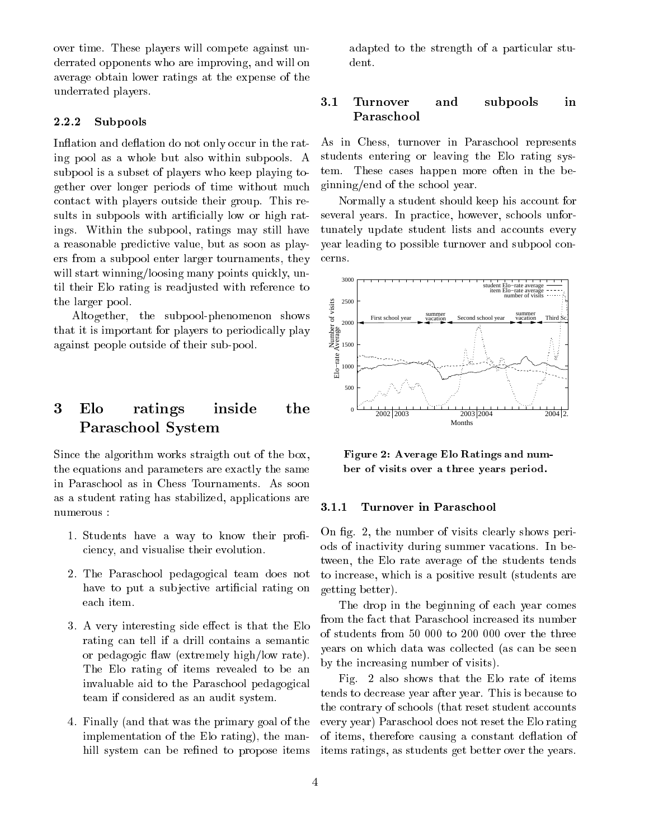over time. These players will ompete against underrated opponents who are improving, and will on average obtain lower ratings at the expense of the underrated players.

## 2.2.2 Subpools

Inflation and deflation do not only occur in the rating pool as a whole but also within subpools. A subpool is a subset of players who keep playing together over longer periods of time without mu
h onta
t with players outside their group. This results in subpools with artificially low or high ratings. Within the subpool, ratings may still have a reasonable predi
tive value, but as soon as players from a subpool enter larger tournaments, they will start winning/loosing many points quickly, until their Elo rating is readjusted with referen
e to the larger pool.

Altogether, the subpool-phenomenon shows that it is important for players to periodi
ally play against people outside of their sub-pool.

### 3 Elo ratings inside the Paras
hool System

Sin
e the algorithm works straigth out of the box, the equations and parameters are exa
tly the same in Paras
hool as in Chess Tournaments. As soon as a student rating has stabilized, appli
ations are numerous :

- 1. Students have a way to know their proficiency, and visualise their evolution.
- 2. The Paras
hool pedagogi
al team does not have to put a subjective artificial rating on ea
h item.
- 3. A very interesting side effect is that the Elo rating can tell if a drill contains a semantic or pedagogic flaw (extremely high/low rate). The Elo rating of items revealed to be an invaluable aid to the Paras
hool pedagogi
al team if onsidered as an audit system.
- 4. Finally (and that was the primary goal of the implementation of the Elo rating), the manhill system can be refined to propose items

adapted to the strength of a particular student.

# Turnover and subpools in

As in Chess, turnover in Paras
hool represents students entering or leaving the Elo rating system. These ases happen more often in the beginning/end of the s
hool year.

Normally a student should keep his account for several years. In practice, however, schools unfortunately update student lists and accounts every year leading to possible turnover and subpool on erns.



Figure 2: Average Elo Ratings and number of visits over a three years period.

## 3.1.1 Turnover in Paras
hool

On fig. 2, the number of visits clearly shows periods of ina
tivity during summer va
ations. In between, the Elo rate average of the students tends to in
rease, whi
h is a positive result (students are getting better).

The drop in the beginning of each year comes from the fact that Paraschool increased its number of students from 50 000 to 200 000 over the three years on whi
h data was olle
ted (as an be seen by the in
reasing number of visits).

Fig. 2 also shows that the Elo rate of items tends to de
rease year after year. This is be
ause to the contrary of schools (that reset student accounts every year) Paras
hool does not reset the Elo rating of items, therefore causing a constant deflation of items ratings, as students get better over the years.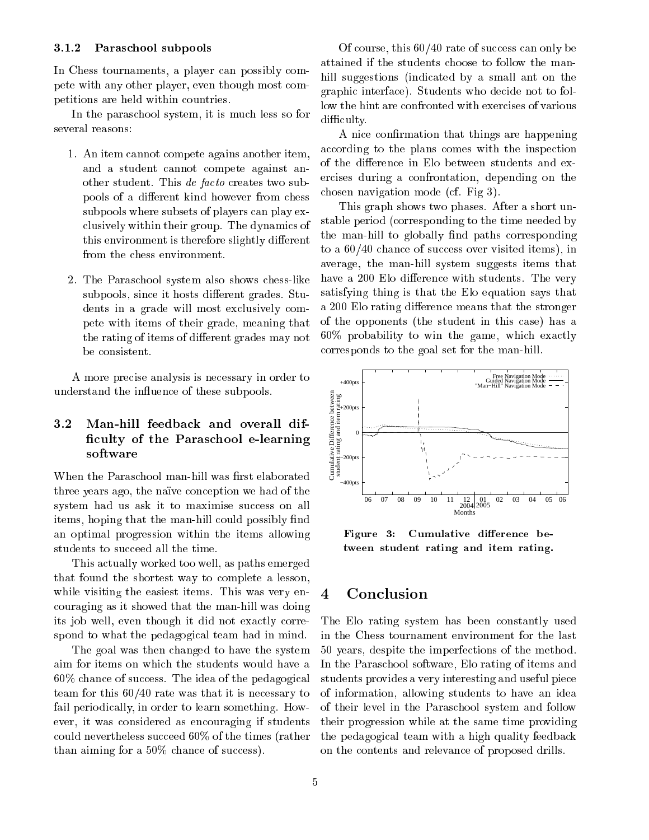## 3.1.2 Paras
hool subpools

In Chess tournaments, a player can possibly compete with any other player, even though most ompetitions are held within ountries.

In the paraschool system, it is much less so for several reasons:

- 1. An item annot ompete agains another item, and a student annot ompete against another student. This *de facto* creates two subpools of a different kind however from chess subpools where subsets of players can play exlusively within their group. The dynami
s of this environment is therefore slightly different from the chess environment.
- 2. The Paras
hool system also shows hess-like subpools, since it hosts different grades. Students in a grade will most exclusively compete with items of their grade, meaning that the rating of items of different grades may not be onsistent.

A more pre
ise analysis is ne
essary in order to understand the influence of these subpools.

### 3.2 Man-hill feedba
k and overall dif- 
ulty of the Paras
hool e-learning  $s = s + t + s$

When the Paraschool man-hill was first elaborated three years ago, the naïve conception we had of the system had us ask it to maximise success on all items, hoping that the man-hill could possibly find an optimal progression within the items allowing students to succeed all the time.

This a
tually worked too well, as paths emerged that found the shortest way to omplete a lesson, while visiting the easiest items. This was very enouraging as it showed that the man-hill was doing its job well, even though it did not exactly correspond to what the pedagogical team had in mind.

The goal was then hanged to have the system aim for items on whi
h the students would have a 60% chance of success. The idea of the pedagogical team for this 60/40 rate was that it is ne
essary to fail periodically, in order to learn something. However, it was onsidered as en
ouraging if students could nevertheless succeed 60% of the times (rather than aiming for a  $50\%$  chance of success).

Of course, this  $60/40$  rate of success can only be attained if the students hoose to follow the manhill suggestions (indicated by a small ant on the graphi interfa
e). Students who de
ide not to follow the hint are confronted with exercises of various difficulty.

A nice confirmation that things are happening according to the plans comes with the inspection of the difference in Elo between students and exer
ises during a onfrontation, depending on the hosen navigation mode (
f. Fig 3).

This graph shows two phases. After a short unstable period (
orresponding to the time needed by the man-hill to globally find paths corresponding to a  $60/40$  chance of success over visited items), in average, the man-hill system suggests items that have a 200 Elo difference with students. The very satisfying thing is that the Elo equation says that a 200 Elo rating difference means that the stronger of the opponents (the student in this ase) has a 60% probability to win the game, whi
h exa
tly orresponds to the goal set for the man-hill.



Figure 3: Cumulative difference between student rating and item rating.

#### $\overline{\mathbf{4}}$ **Conclusion**

The Elo rating system has been onstantly used in the Chess tournament environment for the last 50 years, despite the imperfe
tions of the method. In the Paras
hool software, Elo rating of items and students provides a very interesting and useful pie
e of information, allowing students to have an idea of their level in the Paras
hool system and follow their progression while at the same time providing the pedagogi
al team with a high quality feedba
k on the ontents and relevan
e of proposed drills.